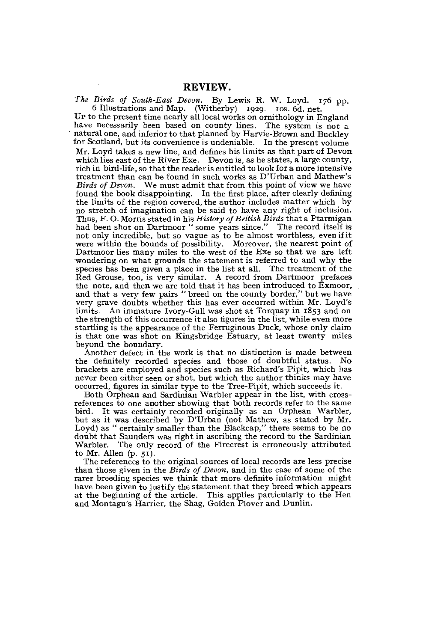*The Birds of South-East Devon.* By Lewis R. W. Loyd. 176 pp. 6 Illustrations and Map. (Witherby) 1929. 10s. 6d. net.

UP to the present time nearly all local works on ornithology in England have necessarily been based on county lines. The system is not a natural one, and inferior to that planned by Harvie-Brown and Buckley for Scotland, but its convenience is undeniable. In the present volume Mr. Loyd takes a new line, and defines his limits as that part of Devon which lies east of the River Exe. Devon is, as he states, a large county, rich in bird-life, so that the reader is entitled to look for a more intensive treatment than can be found in such works as D'Urban and Mathew's *Birds of Devon.* We must admit that from this point of view we have found the book disappointing. In the first place, after clearly defming the limits of the region covered, the author includes matter which by no Stretch of imagination can be said to have any right of inclusion. Thus, F. O. Morris stated in his *History of British Birds* that a Ptarmigan had been shot on Dartmoor " some years since." The record itself is not only incredible, but so vague as to be almost worthless, evenifit were within the bounds of possibility. Moreover, the nearest point of Dartmoor lies many miles to the west of the Exe so that we are left wondering on what grounds the statement is referred to and why the species has been given a place in the list at all. The treatment of the Red Grouse, too, is very similar. A record from Dartmoor prefaces the note, and then we are told that it has been introduced to  $\hat{E}$ xmoor, and that a very few pairs " breed on the county border," but we have very grave doubts whether this has ever occurred within Mr. Loyd's limits. An immature Ivory-Gull was shot at Torquay in 1853 and on the strength of this occurrence it also figures in the list, while even more startling is the appearance of the Ferruginous Duck, whose only claim is that one was shot on Kingsbridge Estuary, at least twenty miles beyond the boundary.

Another defect in the work is that no distinction is made between the definitely recorded species and those of doubtful Status. No brackets are employed and species such as Richard's Pipit, which has never been either seen or shot, but which the author thinks may have oecurred, figures in similar type to the Tree-Pipit, which sueeeeds it.

Both Orphean and Sardinian Warbier appear in the list, with crossreferences to one another showing that both records refer to the same bird. It was certainly recorded originally as an Orphean Warbier, but as it was described by D'Urban (not Mathew, as stated by Mr. Loyd) as " certainly smaller than the Blackcap," there seems to be no doubt that Saunders was right in ascribing the record to the Sardinian Warbier. The only record of the Firecrest is erroneously attributed to Mr. Allen  $(p. 51)$ .

The references to the original sources of local records are less precise than those given in the *Birds of Devon,* and in the case of some of the rarer breeding species we think that more definite information might have been given to justify the statement that they breed which appears at the beginning of the article. This applies particularly to the Hen and Montagu's Harrier, the Shag, Golden Plover and Dunlin.